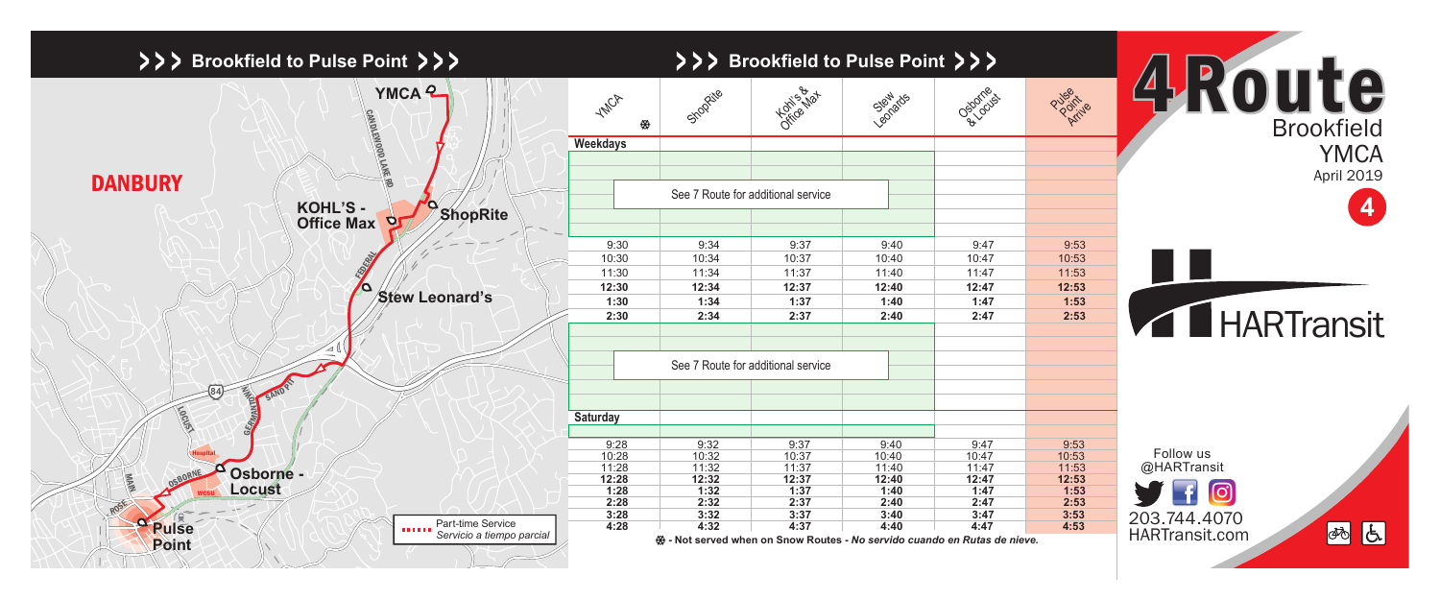